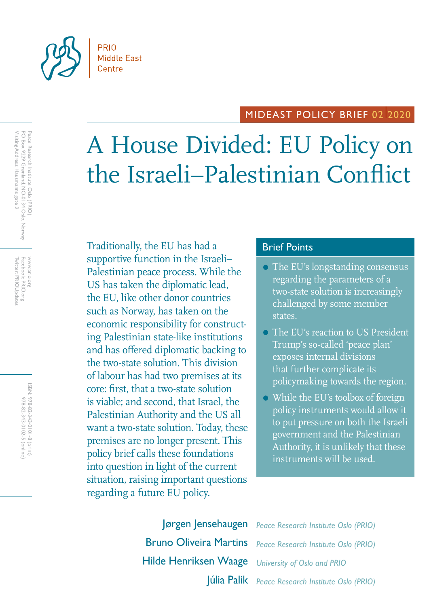

# MIDEAST POLICY BRIEF 0212020

# A House Divided: EU Policy on the Israeli–Palestinian Conflict

Traditionally, the EU has had a Brief Points supportive function in the Israeli– Palestinian peace process. While the US has taken the diplomatic lead, the EU, like other donor countries such as Norway, has taken on the economic responsibility for constructing Palestinian state-like institutions and has offered diplomatic backing to the two-state solution. This division of labour has had two premises at its core: first, that a two-state solution is viable; and second, that Israel, the Palestinian Authority and the US all want a two-state solution. Today, these premises are no longer present. This policy brief calls these foundations into question in light of the current situation, raising important questions regarding a future EU policy.

- The EU's longstanding consensus regarding the parameters of a two-state solution is increasingly challenged by some member states.
- The EU's reaction to US President Trump's so-called 'peace plan' exposes internal divisions that further complicate its policymaking towards the region.
- While the EU's toolbox of foreign policy instruments would allow it to put pressure on both the Israeli government and the Palestinian Authority, it is unlikely that these instruments will be used.

Hilde Henriksen Waage *University of Oslo and PRIO*

Bruno Oliveira Martins *Peace Research Institute Oslo (PRIO)* Jørgen Jensehaugen *Peace Research Institute Oslo (PRIO)* Júlia Palik *Peace Research Institute Oslo (PRIO)*

Twitter: PRIOUpdates Facebook: PRIO.org Twitter: PRIOUpdates Facebook: PRIO.org www.prio.org www.prio.org

> ISBN: 978-82-343-0101-8 (print) 978-82-343-0102-5 (online) 978-82-343-0102-5 (online) 978-82-343-0101-8 (print)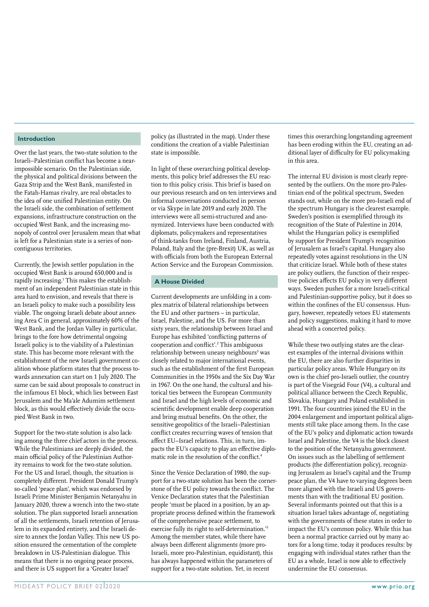#### **Introduction**

Over the last years, the two-state solution to the Israeli–Palestinian conflict has become a nearimpossible scenario. On the Palestinian side, the physical and political divisions between the Gaza Strip and the West Bank, manifested in the Fatah-Hamas rivalry, are real obstacles to the idea of one unified Palestinian entity. On the Israeli side, the combination of settlement expansions, infrastructure construction on the occupied West Bank, and the increasing monopoly of control over Jerusalem mean that what is left for a Palestinian state is a series of noncontiguous territories.

Currently, the Jewish settler population in the occupied West Bank is around 650,000 and is rapidly increasing.<sup>1</sup> This makes the establishment of an independent Palestinian state in this area hard to envision, and reveals that there is an Israeli policy to make such a possibility less viable. The ongoing Israeli debate about annexing Area C in general, approximately 60% of the West Bank, and the Jordan Valley in particular, brings to the fore how detrimental ongoing Israeli policy is to the viability of a Palestinian state. This has become more relevant with the establishment of the new Israeli government coalition whose platform states that the process towards annexation can start on 1 July 2020. The same can be said about proposals to construct in the infamous E1 block, which lies between East Jerusalem and the Ma'ale Adumim settlement block, as this would effectively divide the occupied West Bank in two.

Support for the two-state solution is also lacking among the three chief actors in the process. While the Palestinians are deeply divided, the main official policy of the Palestinian Authority remains to work for the two-state solution. For the US and Israel, though, the situation is completely different. President Donald Trump's so-called 'peace plan', which was endorsed by Israeli Prime Minister Benjamin Netanyahu in January 2020, threw a wrench into the two-state solution. The plan supported Israeli annexation of all the settlements, Israeli retention of Jerusalem in its expanded entirety, and the Israeli desire to annex the Jordan Valley. This new US position ensured the cementation of the complete breakdown in US-Palestinian dialogue. This means that there is no ongoing peace process, and there is US support for a 'Greater Israel'

policy (as illustrated in the map). Under these conditions the creation of a viable Palestinian state is impossible.

In light of these overarching political developments, this policy brief addresses the EU reaction to this policy crisis. This brief is based on our previous research and on ten interviews and informal conversations conducted in person or via Skype in late 2019 and early 2020. The interviews were all semi-structured and anonymized. Interviews have been conducted with diplomats, policymakers and representatives of think-tanks from Ireland, Finland, Austria, Poland, Italy and the (pre-Brexit) UK, as well as with officials from both the European External Action Service and the European Commission.

#### **A House Divided**

Current developments are unfolding in a complex matrix of bilateral relationships between the EU and other partners – in particular, Israel, Palestine, and the US. For more than sixty years, the relationship between Israel and Europe has exhibited 'conflicting patterns of cooperation and conflict'.<sup>2</sup> This ambiguous relationship between uneasy neighbours<sup>3</sup> was closely related to major international events, such as the establishment of the first European Communities in the 1950s and the Six Day War in 1967. On the one hand, the cultural and historical ties between the European Community and Israel and the high levels of economic and scientific development enable deep cooperation and bring mutual benefits. On the other, the sensitive geopolitics of the Israeli–Palestinian conflict creates recurring waves of tension that affect EU–Israel relations. This, in turn, impacts the EU's capacity to play an effective diplomatic role in the resolution of the conflict.<sup>4</sup>

Since the Venice Declaration of 1980, the support for a two-state solution has been the cornerstone of the EU policy towards the conflict. The Venice Declaration states that the Palestinian people 'must be placed in a position, by an appropriate process defined within the framework of the comprehensive peace settlement, to exercise fully its right to self-determination.'5 Among the member states, while there have always been different alignments (more pro-Israeli, more pro-Palestinian, equidistant), this has always happened within the parameters of support for a two-state solution. Yet, in recent

times this overarching longstanding agreement has been eroding within the EU, creating an additional layer of difficulty for EU policymaking in this area.

The internal EU division is most clearly represented by the outliers. On the more pro-Palestinian end of the political spectrum, Sweden stands out, while on the more pro-Israeli end of the spectrum Hungary is the clearest example. Sweden's position is exemplified through its recognition of the State of Palestine in 2014, whilst the Hungarian policy is exemplified by support for President Trump's recognition of Jerusalem as Israel's capital. Hungary also repeatedly votes against resolutions in the UN that criticize Israel. While both of these states are policy outliers, the function of their respective policies affects EU policy in very different ways. Sweden pushes for a more Israeli-critical and Palestinian-supportive policy, but it does so within the confines of the EU consensus. Hungary, however, repeatedly vetoes EU statements and policy suggestions, making it hard to move ahead with a concerted policy.

While these two outlying states are the clearest examples of the internal divisions within the EU, there are also further disparities in particular policy areas. While Hungary on its own is the chief pro-Israeli outlier, the country is part of the Visegrád Four (V4), a cultural and political alliance between the Czech Republic, Slovakia, Hungary and Poland established in 1991. The four countries joined the EU in the 2004 enlargement and important political alignments still take place among them. In the case of the EU's policy and diplomatic action towards Israel and Palestine, the V4 is the block closest to the position of the Netanyahu government. On issues such as the labelling of settlement products (the differentiation policy), recognizing Jerusalem as Israel's capital and the Trump peace plan, the V4 have to varying degrees been more aligned with the Israeli and US governments than with the traditional EU position. Several informants pointed out that this is a situation Israel takes advantage of, negotiating with the governments of these states in order to impact the EU's common policy. While this has been a normal practice carried out by many actors for a long time, today it produces results: by engaging with individual states rather than the EU as a whole, Israel is now able to effectively undermine the EU consensus.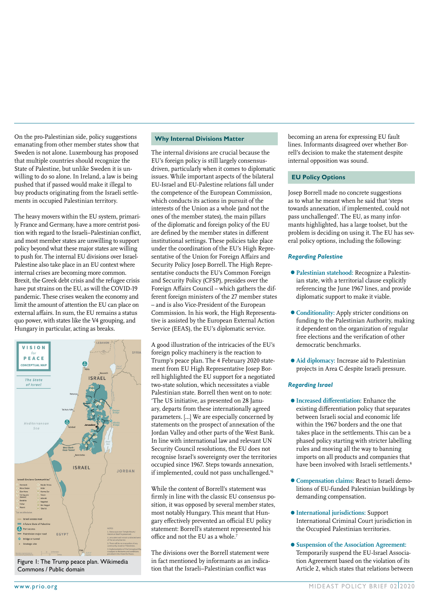On the pro-Palestinian side, policy suggestions emanating from other member states show that Sweden is not alone. Luxembourg has proposed that multiple countries should recognize the State of Palestine, but unlike Sweden it is unwilling to do so alone. In Ireland, a law is being pushed that if passed would make it illegal to buy products originating from the Israeli settlements in occupied Palestinian territory.

The heavy movers within the EU system, primarily France and Germany, have a more centrist position with regard to the Israeli–Palestinian conflict, and most member states are unwilling to support policy beyond what these major states are willing to push for. The internal EU divisions over Israel-Palestine also take place in an EU context where internal crises are becoming more common. Brexit, the Greek debt crisis and the refugee crisis have put strains on the EU, as will the COVID-19 pandemic. These crises weaken the economy and limit the amount of attention the EU can place on external affairs. In sum, the EU remains a status quo power, with states like the V4 grouping, and Hungary in particular, acting as breaks.



Figure 1: The Trump peace plan. Wikimedia Commons / Public domain

#### **Why Internal Divisions Matter**

The internal divisions are crucial because the EU's foreign policy is still largely consensusdriven, particularly when it comes to diplomatic issues. While important aspects of the bilateral EU-Israel and EU-Palestine relations fall under the competence of the European Commission, which conducts its actions in pursuit of the interests of the Union as a whole (and not the ones of the member states), the main pillars of the diplomatic and foreign policy of the EU are defined by the member states in different institutional settings. These policies take place under the coordination of the EU's High Representative of the Union for Foreign Affairs and Security Policy Josep Borrell. The High Representative conducts the EU's Common Foreign and Security Policy (CFSP), presides over the Foreign Affairs Council – which gathers the different foreign ministers of the 27 member states – and is also Vice-President of the European Commission. In his work, the High Representative is assisted by the European External Action Service (EEAS), the EU's diplomatic service.

A good illustration of the intricacies of the EU's foreign policy machinery is the reaction to Trump's peace plan. The 4 February 2020 statement from EU High Representative Josep Borrell highlighted the EU support for a negotiated two-state solution, which necessitates a viable Palestinian state. Borrell then went on to note: 'The US initiative, as presented on 28 January, departs from these internationally agreed parameters. […] We are especially concerned by statements on the prospect of annexation of the Jordan Valley and other parts of the West Bank. In line with international law and relevant UN Security Council resolutions, the EU does not recognise Israel's sovereignty over the territories occupied since 1967. Steps towards annexation, if implemented, could not pass unchallenged.'6

While the content of Borrell's statement was firmly in line with the classic EU consensus position, it was opposed by several member states, most notably Hungary. This meant that Hungary effectively prevented an official EU policy statement: Borrell's statement represented his office and not the EU as a whole. $\overline{7}$ 

The divisions over the Borrell statement were in fact mentioned by informants as an indication that the Israeli–Palestinian conflict was

becoming an arena for expressing EU fault lines. Informants disagreed over whether Borrell's decision to make the statement despite internal opposition was sound.

#### **EU Policy Options**

Josep Borrell made no concrete suggestions as to what he meant when he said that 'steps towards annexation, if implemented, could not pass unchallenged'. The EU, as many informants highlighted, has a large toolset, but the problem is deciding on using it. The EU has several policy options, including the following:

#### *Regarding Palestine*

- •**Palestinian statehood:** Recognize a Palestinian state, with a territorial clause explicitly referencing the June 1967 lines, and provide diplomatic support to make it viable.
- •**Conditionality:** Apply stricter conditions on funding to the Palestinian Authority, making it dependent on the organization of regular free elections and the verification of other democratic benchmarks.
- •**Aid diplomacy:** Increase aid to Palestinian projects in Area C despite Israeli pressure.

#### *Regarding Israel*

- •**Increased differentiation:** Enhance the existing differentiation policy that separates between Israeli social and economic life within the 1967 borders and the one that takes place in the settlements. This can be a phased policy starting with stricter labelling rules and moving all the way to banning imports on all products and companies that have been involved with Israeli settlements.<sup>8</sup>
- •**Compensation claims:** React to Israeli demolitions of EU-funded Palestinian buildings by demanding compensation.
- •**International jurisdictions:** Support International Criminal Court jurisdiction in the Occupied Palestinian territories.
- •**Suspension of the Association Agreement:**  Temporarily suspend the EU-Israel Association Agreement based on the violation of its Article 2, which states that relations between